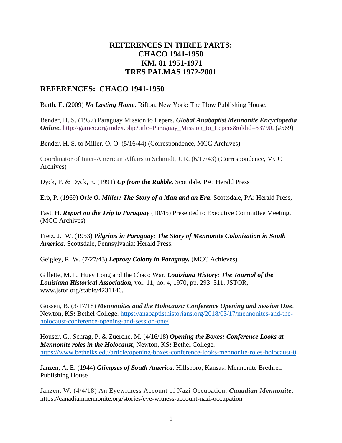## **REFERENCES IN THREE PARTS: CHACO 1941-1950 KM. 81 1951-1971 TRES PALMAS 1972-2001**

## **REFERENCES: CHACO 1941-1950**

Barth, E. (2009) *No Lasting Home*. Rifton, New York: The Plow Publishing House.

Bender, H. S. (1957) Paraguay Mission to Lepers. *Global Anabaptist Mennonite Encyclopedia Online*. http://gameo.org/index.php?title=Paraguay Mission to Lepers&oldid=83790. (#569)

Bender, H. S. to Miller, O. O. (5/16/44) (Correspondence, MCC Archives)

Coordinator of Inter-American Affairs to Schmidt, J. R. (6/17/43) (Correspondence, MCC Archives)

Dyck, P. & Dyck, E. (1991) *Up from the Rubble*. Scottdale, PA: Herald Press

Erb, P. (1969) *Orie O. Miller: The Story of a Man and an Era***.** Scottsdale, PA: Herald Press,

Fast, H. *Report on the Trip to Paraguay* (10/45) Presented to Executive Committee Meeting. (MCC Archives)

Fretz, J. W. (1953) *Pilgrims in Paraguay: The Story of Mennonite Colonization in South America*. Scottsdale, Pennsylvania: Herald Press.

Geigley, R. W. (7/27/43) *Leprosy Colony in Paraguay.* (MCC Achieves)

Gillette, M. L. Huey Long and the Chaco War. *Louisiana History: The Journal of the Louisiana Historical Association*, vol. 11, no. 4, 1970, pp. 293–311. JSTOR, www.jstor.org/stable/4231146.

Gossen, B. (3/17/18) *Mennonites and the Holocaust: Conference Opening and Session One*. Newton, KS**:** Bethel College. [https://anabaptisthistorians.org/2018/03/17/mennonites-and-the](https://anabaptisthistorians.org/2018/03/17/mennonites-and-the-holocaust-conference-opening-and-session-one/)[holocaust-conference-opening-and-session-one/](https://anabaptisthistorians.org/2018/03/17/mennonites-and-the-holocaust-conference-opening-and-session-one/)

Houser, G., Schrag, P. & Zuerche, M*.* (4/16/18**)** *Opening the Boxes: Conference Looks at Mennonite roles in the Holocaust*, Newton, KS**:** Bethel College. <https://www.bethelks.edu/article/opening-boxes-conference-looks-mennonite-roles-holocaust-0>

Janzen, A. E. (1944) *Glimpses of South America*. Hillsboro, Kansas: Mennonite Brethren Publishing House

Janzen, W. (4/4/18) An Eyewitness Account of Nazi Occupation. *Canadian Mennonite*. https://canadianmennonite.org/stories/eye-witness-account-nazi-occupation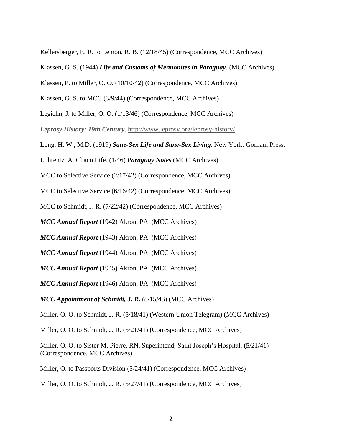Kellersberger, E. R. to Lemon, R. B. (12/18/45) (Correspondence, MCC Archives)

- Klassen, G. S. (1944) *Life and Customs of Mennonites in Paraguay*. (MCC Archives)
- Klassen, P. to Miller, O. O. (10/10/42) (Correspondence, MCC Archives)
- Klassen, G. S. to MCC (3/9/44) (Correspondence, MCC Archives)

Legiehn, J. to Miller, O. O. (1/13/46) (Correspondence, MCC Archives)

*Leprosy History: 19th Century*. http://www.leprosy.org/leprosy-history/

Long, H. W., M.D. (1919) *Sane-Sex Life and Sane-Sex Living.* New York: Gorham Press.

Lohrentz, A. Chaco Life. (1/46) *Paraguay Notes* (MCC Archives)

MCC to Selective Service (2/17/42) (Correspondence, MCC Archives)

MCC to Selective Service (6/16/42) (Correspondence, MCC Archives)

MCC to Schmidt, J. R. (7/22/42) (Correspondence, MCC Archives)

*MCC Annual Report* (1942) Akron, PA. (MCC Archives)

*MCC Annual Report* (1943) Akron, PA. (MCC Archives)

*MCC Annual Report* (1944) Akron, PA. (MCC Archives)

*MCC Annual Report* (1945) Akron, PA. (MCC Archives)

*MCC Annual Report* (1946) Akron, PA. (MCC Archives)

*MCC Appointment of Schmidt, J. R.* (8/15/43) (MCC Archives)

Miller, O. O. to Schmidt, J. R. (5/18/41) (Western Union Telegram) (MCC Archives)

Miller, O. O. to Schmidt, J. R. (5/21/41) (Correspondence, MCC Archives)

Miller, O. O. to Sister M. Pierre, RN, Superintend, Saint Joseph's Hospital. (5/21/41) (Correspondence, MCC Archives)

Miller, O. to Passports Division (5/24/41) (Correspondence, MCC Archives)

Miller, O. O. to Schmidt, J. R. (5/27/41) (Correspondence, MCC Archives)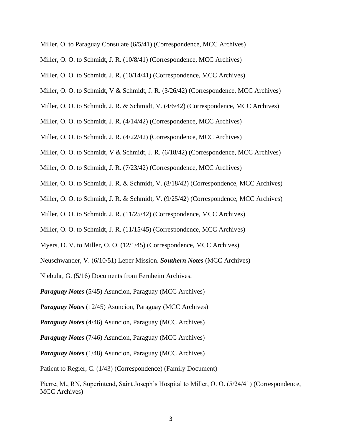- Miller, O. to Paraguay Consulate (6/5/41) (Correspondence, MCC Archives)
- Miller, O. O. to Schmidt, J. R. (10/8/41) (Correspondence, MCC Archives)
- Miller, O. O. to Schmidt, J. R. (10/14/41) (Correspondence, MCC Archives)
- Miller, O. O. to Schmidt, V & Schmidt, J. R. (3/26/42) (Correspondence, MCC Archives)
- Miller, O. O. to Schmidt, J. R. & Schmidt, V. (4/6/42) (Correspondence, MCC Archives)
- Miller, O. O. to Schmidt, J. R. (4/14/42) (Correspondence, MCC Archives)
- Miller, O. O. to Schmidt, J. R. (4/22/42) (Correspondence, MCC Archives)
- Miller, O. O. to Schmidt, V & Schmidt, J. R. (6/18/42) (Correspondence, MCC Archives)
- Miller, O. O. to Schmidt, J. R. (7/23/42) (Correspondence, MCC Archives)
- Miller, O. O. to Schmidt, J. R. & Schmidt, V. (8/18/42) (Correspondence, MCC Archives)
- Miller, O. O. to Schmidt, J. R. & Schmidt, V. (9/25/42) (Correspondence, MCC Archives)
- Miller, O. O. to Schmidt, J. R. (11/25/42) (Correspondence, MCC Archives)
- Miller, O. O. to Schmidt, J. R. (11/15/45) (Correspondence, MCC Archives)
- Myers, O. V. to Miller, O. O. (12/1/45) (Correspondence, MCC Archives)
- Neuschwander, V. (6/10/51) Leper Mission. *Southern Notes* (MCC Archives)
- Niebuhr, G. (5/16) Documents from Fernheim Archives.
- *Paraguay Notes* (5/45) Asuncion, Paraguay (MCC Archives)
- *Paraguay Notes* (12/45) Asuncion, Paraguay (MCC Archives)
- *Paraguay Notes* (4/46) Asuncion, Paraguay (MCC Archives)
- *Paraguay Notes* (7/46) Asuncion, Paraguay (MCC Archives)
- *Paraguay Notes* (1/48) Asuncion, Paraguay (MCC Archives)

Patient to Regier, C. (1/43) (Correspondence) (Family Document)

Pierre, M., RN, Superintend, Saint Joseph's Hospital to Miller, O. O. (5/24/41) (Correspondence, MCC Archives)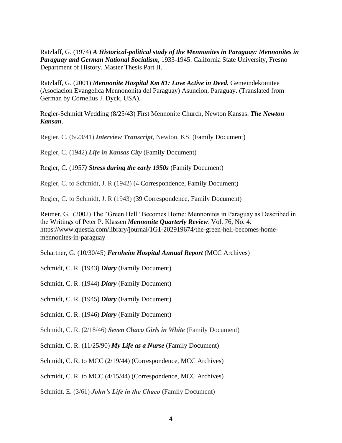Ratzlaff, G. (1974) *A Historical-political study of the Mennonites in Paraguay: Mennonites in Paraguay and German National Socialism*, 1933-1945. California State University, Fresno Department of History. Master Thesis Part II.

Ratzlaff, G. (2001) *Mennonite Hospital Km 81: Love Active in Deed.* Gemeindekomitee (Asociacion Evangelica Mennononita del Paraguay) Asuncion, Paraguay. (Translated from German by Cornelius J. Dyck, USA).

Regier-Schmidt Wedding (8/25/43) First Mennonite Church, Newton Kansas. *The Newton Kansan*.

Regier, C. (6/23/41) *Interview Transcript*, Newton, KS. (Family Document)

Regier, C. (1942) *Life in Kansas City* (Family Document)

Regier, C. (1957*) Stress during the early 1950s* (Family Document)

Regier, C. to Schmidt, J. R (1942) (4 Correspondence, Family Document)

Regier, C. to Schmidt, J. R (1943) (39 Correspondence, Family Document)

Reimer, G. (2002) The "Green Hell" Becomes Home: Mennonites in Paraguay as Described in the Writings of Peter P. Klassen *Mennonite Quarterly Review*. Vol. 76, No. 4. https://www.questia.com/library/journal/1G1-202919674/the-green-hell-becomes-homemennonites-in-paraguay

Schartner, G. (10/30/45) *Fernheim Hospital Annual Report* (MCC Archives)

Schmidt, C. R. (1943) *Diary* (Family Document)

Schmidt, C. R. (1944) *Diary* (Family Document)

Schmidt, C. R. (1945) *Diary* (Family Document)

Schmidt, C. R. (1946) *Diary* (Family Document)

Schmidt, C. R. (2/18/46) *Seven Chaco Girls in White* (Family Document)

Schmidt, C. R. (11/25/90) *My Life as a Nurse* (Family Document)

Schmidt, C. R. to MCC (2/19/44) (Correspondence, MCC Archives)

Schmidt, C. R. to MCC (4/15/44) (Correspondence, MCC Archives)

Schmidt, E. (3/61) *John's Life in the Chaco* (Family Document)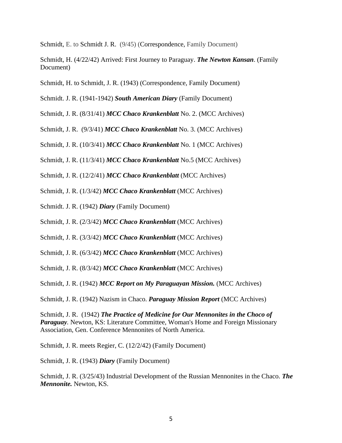Schmidt, E. to Schmidt J. R. (9/45) (Correspondence, Family Document)

Schmidt, H. (4/22/42) Arrived: First Journey to Paraguay. *The Newton Kansan*. (Family Document)

Schmidt, H. to Schmidt, J. R. (1943) (Correspondence, Family Document)

Schmidt. J. R. (1941-1942) *South American Diary* (Family Document)

Schmidt, J. R. (8/31/41) *MCC Chaco Krankenblatt* No. 2. (MCC Archives)

Schmidt, J. R. (9/3/41) *MCC Chaco Krankenblatt* No. 3. (MCC Archives)

Schmidt, J. R. (10/3/41) *MCC Chaco Krankenblatt* No. 1 (MCC Archives)

Schmidt, J. R. (11/3/41) *MCC Chaco Krankenblatt* No.5 (MCC Archives)

Schmidt, J. R. (12/2/41) *MCC Chaco Krankenblatt* (MCC Archives)

Schmidt, J. R. (1/3/42) *MCC Chaco Krankenblatt* (MCC Archives)

Schmidt. J. R. (1942) *Diary* (Family Document)

Schmidt, J. R. (2/3/42) *MCC Chaco Krankenblatt* (MCC Archives)

Schmidt, J. R. (3/3/42) *MCC Chaco Krankenblatt* (MCC Archives)

Schmidt, J. R. (6/3/42) *MCC Chaco Krankenblatt* (MCC Archives)

Schmidt, J. R. (8/3/42) *MCC Chaco Krankenblatt* (MCC Archives)

Schmidt, J. R. (1942) *MCC Report on My Paraguayan Mission.* (MCC Archives)

Schmidt, J. R. (1942) Nazism in Chaco. *Paraguay Mission Report* (MCC Archives)

Schmidt, J. R. (1942) *The Practice of Medicine for Our Mennonites in the Choco of Paraguay.* Newton, KS: Literature Committee, Woman's Home and Foreign Missionary Association, Gen. Conference Mennonites of North America.

Schmidt, J. R. meets Regier, C. (12/2/42) (Family Document)

Schmidt, J. R. (1943) *Diary* (Family Document)

Schmidt, J. R. (3/25/43) Industrial Development of the Russian Mennonites in the Chaco. *The Mennonite.* Newton, KS.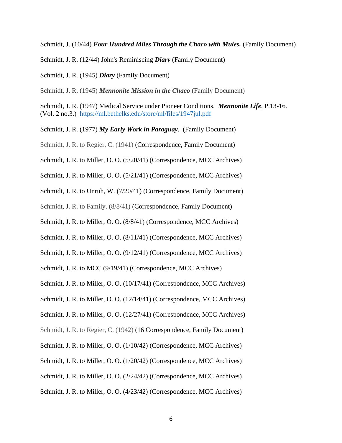Schmidt, J. (10/44) *Four Hundred Miles Through the Chaco with Mules.* (Family Document)

Schmidt, J. R. (12/44) John's Reminiscing *Diary* (Family Document)

Schmidt, J. R. (1945) *Diary* (Family Document)

Schmidt, J. R. (1945) *Mennonite Mission in the Chaco* (Family Document)

Schmidt, J. R. (1947) Medical Service under Pioneer Conditions. *Mennonite Life*, P.13-16. (Vol. 2 no.3.) <https://ml.bethelks.edu/store/ml/files/1947jul.pdf>

Schmidt, J. R. (1977) *My Early Work in Paraguay.* (Family Document)

Schmidt, J. R. to Regier, C. (1941) (Correspondence, Family Document)

Schmidt, J. R. to Miller, O. O. (5/20/41) (Correspondence, MCC Archives)

Schmidt, J. R. to Miller, O. O. (5/21/41) (Correspondence, MCC Archives)

Schmidt, J. R. to Unruh, W. (7/20/41) (Correspondence, Family Document)

Schmidt, J. R. to Family. (8/8/41) (Correspondence, Family Document)

Schmidt, J. R. to Miller, O. O. (8/8/41) (Correspondence, MCC Archives)

Schmidt, J. R. to Miller, O. O. (8/11/41) (Correspondence, MCC Archives)

Schmidt, J. R. to Miller, O. O. (9/12/41) (Correspondence, MCC Archives)

Schmidt, J. R. to MCC (9/19/41) (Correspondence, MCC Archives)

Schmidt, J. R. to Miller, O. O. (10/17/41) (Correspondence, MCC Archives)

Schmidt, J. R. to Miller, O. O. (12/14/41) (Correspondence, MCC Archives)

Schmidt, J. R. to Miller, O. O. (12/27/41) (Correspondence, MCC Archives)

Schmidt, J. R. to Regier, C. (1942) (16 Correspondence, Family Document)

Schmidt, J. R. to Miller, O. O. (1/10/42) (Correspondence, MCC Archives)

Schmidt, J. R. to Miller, O. O. (1/20/42) (Correspondence, MCC Archives)

Schmidt, J. R. to Miller, O. O. (2/24/42) (Correspondence, MCC Archives)

Schmidt, J. R. to Miller, O. O. (4/23/42) (Correspondence, MCC Archives)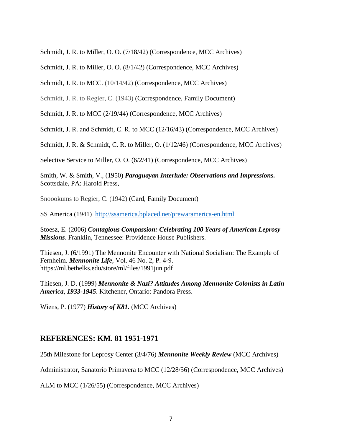Schmidt, J. R. to Miller, O. O. (7/18/42) (Correspondence, MCC Archives)

Schmidt, J. R. to Miller, O. O. (8/1/42) (Correspondence, MCC Archives)

Schmidt, J. R. to MCC. (10/14/42) (Correspondence, MCC Archives)

Schmidt, J. R. to Regier, C. (1943) (Correspondence, Family Document)

Schmidt, J. R. to MCC (2/19/44) (Correspondence, MCC Archives)

Schmidt, J. R. and Schmidt, C. R. to MCC (12/16/43) (Correspondence, MCC Archives)

Schmidt, J. R. & Schmidt, C. R. to Miller, O. (1/12/46) (Correspondence, MCC Archives)

Selective Service to Miller, O. O. (6/2/41) (Correspondence, MCC Archives)

Smith, W. & Smith, V., (1950) *Paraguayan Interlude: Observations and Impressions.* Scottsdale, PA: Harold Press,

Snoookums to Regier, C. (1942) (Card, Family Document)

SS America (1941) <http://ssamerica.bplaced.net/prewaramerica-en.html>

Stoesz, E. (2006) *Contagious Compassion: Celebrating 100 Years of American Leprosy Missions*. Franklin, Tennessee: Providence House Publishers.

Thiesen, J. (6/1991) The Mennonite Encounter with National Socialism: The Example of Fernheim. *Mennonite Life*, Vol. 46 No. 2, P. 4-9. https://ml.bethelks.edu/store/ml/files/1991jun.pdf

Thiesen, J. D. (1999) *Mennonite & Nazi? Attitudes Among Mennonite Colonists in Latin America*, *1933-1945*. Kitchener, Ontario: Pandora Press.

Wiens, P. (1977) *History of K81.* (MCC Archives)

## **REFERENCES: KM. 81 1951-1971**

25th Milestone for Leprosy Center (3/4/76) *Mennonite Weekly Review* (MCC Archives)

Administrator, Sanatorio Primavera to MCC (12/28/56) (Correspondence, MCC Archives)

ALM to MCC (1/26/55) (Correspondence, MCC Archives)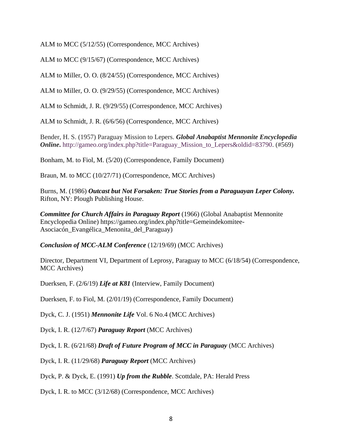ALM to MCC (5/12/55) (Correspondence, MCC Archives)

ALM to MCC (9/15/67) (Correspondence, MCC Archives)

ALM to Miller, O. O. (8/24/55) (Correspondence, MCC Archives)

ALM to Miller, O. O. (9/29/55) (Correspondence, MCC Archives)

ALM to Schmidt, J. R. (9/29/55) (Correspondence, MCC Archives)

ALM to Schmidt, J. R. (6/6/56) (Correspondence, MCC Archives)

Bender, H. S. (1957) Paraguay Mission to Lepers. *Global Anabaptist Mennonite Encyclopedia Online*. http://gameo.org/index.php?title=Paraguay Mission to Lepers&oldid=83790. (#569)

Bonham, M. to Fiol, M. (5/20) (Correspondence, Family Document)

Braun, M. to MCC (10/27/71) (Correspondence, MCC Archives)

Burns, M. (1986) *Outcast but Not Forsaken: True Stories from a Paraguayan Leper Colony.* Rifton, NY: Plough Publishing House.

*Committee for Church Affairs in Paraguay Report* (1966) (Global Anabaptist Mennonite Encyclopedia Online) https://gameo.org/index.php?title=Gemeindekomitee-Asociacón\_Evangélica\_Menonita\_del\_Paraguay)

*Conclusion of MCC-ALM Conference* (12/19/69) (MCC Archives)

Director, Department VI, Department of Leprosy, Paraguay to MCC (6/18/54) (Correspondence, MCC Archives)

Duerksen, F. (2/6/19) *Life at K81* (Interview, Family Document)

Duerksen, F. to Fiol, M. (2/01/19) (Correspondence, Family Document)

Dyck, C. J. (1951) *Mennonite Life* Vol. 6 No.4 (MCC Archives)

Dyck, I. R. (12/7/67) *Paraguay Report* (MCC Archives)

Dyck, I. R. (6/21/68) *Draft of Future Program of MCC in Paraguay* (MCC Archives)

Dyck, I. R. (11/29/68) *Paraguay Report* (MCC Archives)

Dyck, P. & Dyck, E. (1991) *Up from the Rubble*. Scottdale, PA: Herald Press

Dyck, I. R. to MCC (3/12/68) (Correspondence, MCC Archives)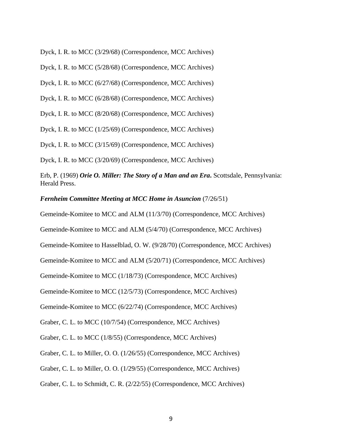Dyck, I. R. to MCC (3/29/68) (Correspondence, MCC Archives)

Dyck, I. R. to MCC (5/28/68) (Correspondence, MCC Archives)

Dyck, I. R. to MCC (6/27/68) (Correspondence, MCC Archives)

Dyck, I. R. to MCC (6/28/68) (Correspondence, MCC Archives)

Dyck, I. R. to MCC (8/20/68) (Correspondence, MCC Archives)

Dyck, I. R. to MCC (1/25/69) (Correspondence, MCC Archives)

Dyck, I. R. to MCC (3/15/69) (Correspondence, MCC Archives)

Dyck, I. R. to MCC (3/20/69) (Correspondence, MCC Archives)

Erb, P. (1969) *Orie O. Miller: The Story of a Man and an Era***.** Scottsdale, Pennsylvania: Herald Press.

*Fernheim Committee Meeting at MCC Home in Asuncion* (7/26/51)

Gemeinde-Komitee to MCC and ALM (11/3/70) (Correspondence, MCC Archives)

Gemeinde-Komitee to MCC and ALM (5/4/70) (Correspondence, MCC Archives)

Gemeinde-Komitee to Hasselblad, O. W. (9/28/70) (Correspondence, MCC Archives)

Gemeinde-Komitee to MCC and ALM (5/20/71) (Correspondence, MCC Archives)

Gemeinde-Komitee to MCC (1/18/73) (Correspondence, MCC Archives)

Gemeinde-Komitee to MCC (12/5/73) (Correspondence, MCC Archives)

Gemeinde-Komitee to MCC (6/22/74) (Correspondence, MCC Archives)

Graber, C. L. to MCC (10/7/54) (Correspondence, MCC Archives)

Graber, C. L. to MCC (1/8/55) (Correspondence, MCC Archives)

Graber, C. L. to Miller, O. O. (1/26/55) (Correspondence, MCC Archives)

Graber, C. L. to Miller, O. O. (1/29/55) (Correspondence, MCC Archives)

Graber, C. L. to Schmidt, C. R. (2/22/55) (Correspondence, MCC Archives)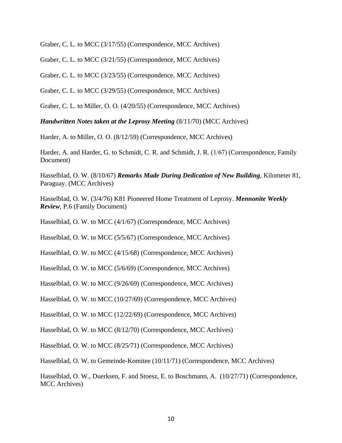Graber, C. L. to MCC (3/17/55) (Correspondence, MCC Archives)

Graber, C. L. to MCC (3/21/55) (Correspondence, MCC Archives)

Graber, C. L. to MCC (3/23/55) (Correspondence, MCC Archives)

Graber, C. L. to MCC (3/29/55) (Correspondence, MCC Archives)

Graber, C. L. to Miller, O. O. (4/20/55) (Correspondence, MCC Archives)

*Handwritten Notes taken at the Leprosy Meeting* (8/11/70) (MCC Archives)

Harder, A. to Miller, O. O. (8/12/59) (Correspondence, MCC Archives)

Harder, A. and Harder, G. to Schmidt, C. R. and Schmidt, J. R. (1/67) (Correspondence, Family Document)

Hasselblad, O. W. (8/10/67) *Remarks Made During Dedication of New Building*, Kilometer 81, Paraguay. (MCC Archives)

Hasselblad, O. W. (3/4/76) K81 Pioneered Home Treatment of Leprosy. *Mennonite Weekly Review*, P.6 (Family Document)

Hasselblad, O. W. to MCC (4/1/67) (Correspondence, MCC Archives)

Hasselblad, O. W. to MCC (5/5/67) (Correspondence, MCC Archives)

Hasselblad, O. W. to MCC (4/15/68) (Correspondence, MCC Archives)

Hasselblad, O. W. to MCC (5/6/69) (Correspondence, MCC Archives)

Hasselblad, O. W. to MCC (9/26/69) (Correspondence, MCC Archives)

Hasselblad, O. W. to MCC (10/27/69) (Correspondence, MCC Archives)

Hasselblad, O. W. to MCC (12/22/69) (Correspondence, MCC Archives)

Hasselblad, O. W. to MCC (8/12/70) (Correspondence, MCC Archives)

Hasselblad, O. W. to MCC (8/25/71) (Correspondence, MCC Archives)

Hasselblad, O. W. to Gemeinde-Komitee (10/11/71) (Correspondence, MCC Archives)

Hasselblad, O. W., Duerksen, F. and Stoesz, E. to Boschmann, A. (10/27/71) (Correspondence, MCC Archives)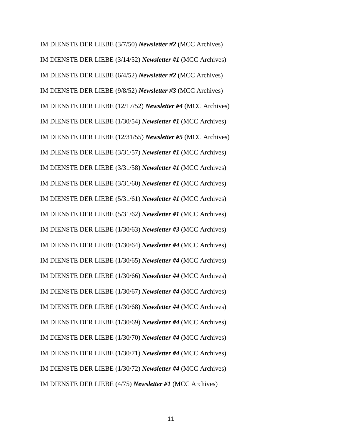IM DIENSTE DER LIEBE (3/7/50) *Newsletter #2* (MCC Archives) IM DIENSTE DER LIEBE (3/14/52) *Newsletter #1* (MCC Archives) IM DIENSTE DER LIEBE (6/4/52) *Newsletter #2* (MCC Archives) IM DIENSTE DER LIEBE (9/8/52) *Newsletter #3* (MCC Archives) IM DIENSTE DER LIEBE (12/17/52) *Newsletter #4* (MCC Archives) IM DIENSTE DER LIEBE (1/30/54) *Newsletter #1* (MCC Archives) IM DIENSTE DER LIEBE (12/31/55) *Newsletter #5* (MCC Archives) IM DIENSTE DER LIEBE (3/31/57) *Newsletter #1* (MCC Archives) IM DIENSTE DER LIEBE (3/31/58) *Newsletter #1* (MCC Archives) IM DIENSTE DER LIEBE (3/31/60) *Newsletter #1* (MCC Archives) IM DIENSTE DER LIEBE (5/31/61) *Newsletter #1* (MCC Archives) IM DIENSTE DER LIEBE (5/31/62) *Newsletter #1* (MCC Archives) IM DIENSTE DER LIEBE (1/30/63) *Newsletter #3* (MCC Archives) IM DIENSTE DER LIEBE (1/30/64) *Newsletter #4* (MCC Archives) IM DIENSTE DER LIEBE (1/30/65) *Newsletter #4* (MCC Archives) IM DIENSTE DER LIEBE (1/30/66) *Newsletter #4* (MCC Archives) IM DIENSTE DER LIEBE (1/30/67) *Newsletter #4* (MCC Archives) IM DIENSTE DER LIEBE (1/30/68) *Newsletter #4* (MCC Archives) IM DIENSTE DER LIEBE (1/30/69) *Newsletter #4* (MCC Archives) IM DIENSTE DER LIEBE (1/30/70) *Newsletter #4* (MCC Archives) IM DIENSTE DER LIEBE (1/30/71) *Newsletter #4* (MCC Archives) IM DIENSTE DER LIEBE (1/30/72) *Newsletter #4* (MCC Archives) IM DIENSTE DER LIEBE (4/75) *Newsletter #1* (MCC Archives)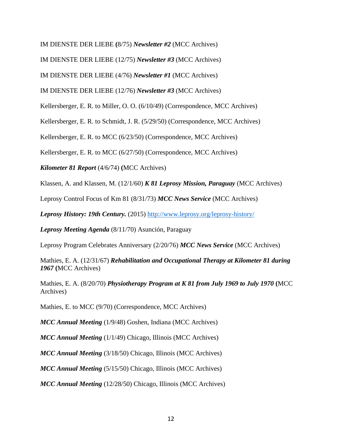IM DIENSTE DER LIEBE **(**8/75) *Newsletter #2* (MCC Archives)

IM DIENSTE DER LIEBE (12/75) *Newsletter #3* (MCC Archives)

IM DIENSTE DER LIEBE (4/76) *Newsletter #1* (MCC Archives)

IM DIENSTE DER LIEBE (12/76) *Newsletter #3* (MCC Archives)

Kellersberger, E. R. to Miller, O. O. (6/10/49) (Correspondence, MCC Archives)

Kellersberger, E. R. to Schmidt, J. R. (5/29/50) (Correspondence, MCC Archives)

Kellersberger, E. R. to MCC (6/23/50) (Correspondence, MCC Archives)

Kellersberger, E. R. to MCC (6/27/50) (Correspondence, MCC Archives)

*Kilometer 81 Report* (4/6/74) **(**MCC Archives)

Klassen, A. and Klassen, M. (12/1/60) *K 81 Leprosy Mission, Paraguay* (MCC Archives)

Leprosy Control Focus of Km 81 (8/31/73) *MCC News Service* (MCC Archives)

*Leprosy History: 19th Century.* (2015)<http://www.leprosy.org/leprosy-history/>

*Leprosy Meeting Agenda* (8/11/70) Asunción, Paraguay

Leprosy Program Celebrates Anniversary (2/20/76) *MCC News Service* (MCC Archives)

Mathies, E. A. (12/31/67) *Rehabilitation and Occupational Therapy at Kilometer 81 during 1967* **(**MCC Archives)

Mathies, E. A. (8/20/70) *Physiotherapy Program at K 81 from July 1969 to July 1970* **(**MCC Archives)

Mathies, E. to MCC (9/70) (Correspondence, MCC Archives)

*MCC Annual Meeting* (1/9/48) Goshen, Indiana (MCC Archives)

*MCC Annual Meeting* (1/1/49) Chicago, Illinois (MCC Archives)

*MCC Annual Meeting* (3/18/50) Chicago, Illinois (MCC Archives)

*MCC Annual Meeting* (5/15/50) Chicago, Illinois (MCC Archives)

*MCC Annual Meeting* (12/28/50) Chicago, Illinois (MCC Archives)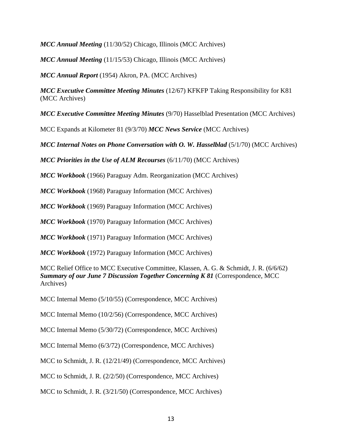*MCC Annual Meeting* (11/30/52) Chicago, Illinois (MCC Archives)

*MCC Annual Meeting* (11/15/53) Chicago, Illinois (MCC Archives)

*MCC Annual Report* (1954) Akron, PA. (MCC Archives)

*MCC Executive Committee Meeting Minutes* (12/67) KFKFP Taking Responsibility for K81 (MCC Archives)

*MCC Executive Committee Meeting Minutes* (9/70) Hasselblad Presentation (MCC Archives)

MCC Expands at Kilometer 81 (9/3/70) *MCC News Service* (MCC Archives)

*MCC Internal Notes on Phone Conversation with O. W. Hasselblad* (5/1/70) (MCC Archives)

*MCC Priorities in the Use of ALM Recourses* (6/11/70) (MCC Archives)

*MCC Workbook* (1966) Paraguay Adm. Reorganization (MCC Archives)

*MCC Workbook* (1968) Paraguay Information (MCC Archives)

*MCC Workbook* (1969) Paraguay Information (MCC Archives)

*MCC Workbook* (1970) Paraguay Information (MCC Archives)

*MCC Workbook* (1971) Paraguay Information (MCC Archives)

*MCC Workbook* (1972) Paraguay Information (MCC Archives)

MCC Relief Office to MCC Executive Committee, Klassen, A. G. & Schmidt, J. R. (6/6/62) *Summary of our June 7 Discussion Together Concerning K 81* (Correspondence, MCC Archives)

MCC Internal Memo (5/10/55) (Correspondence, MCC Archives)

MCC Internal Memo (10/2/56) (Correspondence, MCC Archives)

MCC Internal Memo (5/30/72) (Correspondence, MCC Archives)

MCC Internal Memo (6/3/72) (Correspondence, MCC Archives)

MCC to Schmidt, J. R. (12/21/49) (Correspondence, MCC Archives)

MCC to Schmidt, J. R. (2/2/50) (Correspondence, MCC Archives)

MCC to Schmidt, J. R. (3/21/50) (Correspondence, MCC Archives)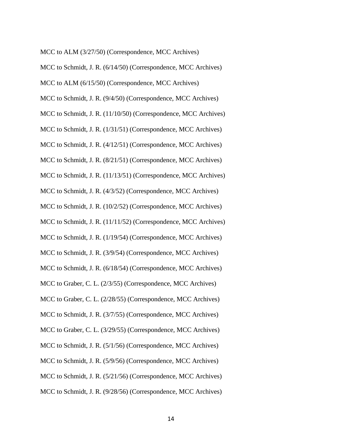MCC to ALM (3/27/50) (Correspondence, MCC Archives)

MCC to Schmidt, J. R. (6/14/50) (Correspondence, MCC Archives)

MCC to ALM (6/15/50) (Correspondence, MCC Archives)

MCC to Schmidt, J. R. (9/4/50) (Correspondence, MCC Archives)

MCC to Schmidt, J. R. (11/10/50) (Correspondence, MCC Archives)

MCC to Schmidt, J. R. (1/31/51) (Correspondence, MCC Archives)

MCC to Schmidt, J. R. (4/12/51) (Correspondence, MCC Archives)

MCC to Schmidt, J. R. (8/21/51) (Correspondence, MCC Archives)

MCC to Schmidt, J. R. (11/13/51) (Correspondence, MCC Archives)

MCC to Schmidt, J. R. (4/3/52) (Correspondence, MCC Archives)

MCC to Schmidt, J. R. (10/2/52) (Correspondence, MCC Archives)

MCC to Schmidt, J. R. (11/11/52) (Correspondence, MCC Archives)

MCC to Schmidt, J. R. (1/19/54) (Correspondence, MCC Archives)

MCC to Schmidt, J. R. (3/9/54) (Correspondence, MCC Archives)

MCC to Schmidt, J. R. (6/18/54) (Correspondence, MCC Archives)

MCC to Graber, C. L. (2/3/55) (Correspondence, MCC Archives)

MCC to Graber, C. L. (2/28/55) (Correspondence, MCC Archives)

MCC to Schmidt, J. R. (3/7/55) (Correspondence, MCC Archives)

MCC to Graber, C. L. (3/29/55) (Correspondence, MCC Archives)

MCC to Schmidt, J. R. (5/1/56) (Correspondence, MCC Archives)

MCC to Schmidt, J. R. (5/9/56) (Correspondence, MCC Archives)

MCC to Schmidt, J. R. (5/21/56) (Correspondence, MCC Archives)

MCC to Schmidt, J. R. (9/28/56) (Correspondence, MCC Archives)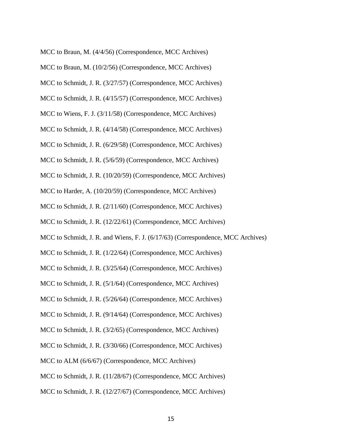MCC to Braun, M. (4/4/56) (Correspondence, MCC Archives)

- MCC to Braun, M. (10/2/56) (Correspondence, MCC Archives)
- MCC to Schmidt, J. R. (3/27/57) (Correspondence, MCC Archives)
- MCC to Schmidt, J. R. (4/15/57) (Correspondence, MCC Archives)
- MCC to Wiens, F. J. (3/11/58) (Correspondence, MCC Archives)
- MCC to Schmidt, J. R. (4/14/58) (Correspondence, MCC Archives)
- MCC to Schmidt, J. R. (6/29/58) (Correspondence, MCC Archives)
- MCC to Schmidt, J. R. (5/6/59) (Correspondence, MCC Archives)
- MCC to Schmidt, J. R. (10/20/59) (Correspondence, MCC Archives)
- MCC to Harder, A. (10/20/59) (Correspondence, MCC Archives)
- MCC to Schmidt, J. R. (2/11/60) (Correspondence, MCC Archives)
- MCC to Schmidt, J. R. (12/22/61) (Correspondence, MCC Archives)
- MCC to Schmidt, J. R. and Wiens, F. J. (6/17/63) (Correspondence, MCC Archives)
- MCC to Schmidt, J. R. (1/22/64) (Correspondence, MCC Archives)
- MCC to Schmidt, J. R. (3/25/64) (Correspondence, MCC Archives)
- MCC to Schmidt, J. R. (5/1/64) (Correspondence, MCC Archives)
- MCC to Schmidt, J. R. (5/26/64) (Correspondence, MCC Archives)
- MCC to Schmidt, J. R. (9/14/64) (Correspondence, MCC Archives)
- MCC to Schmidt, J. R. (3/2/65) (Correspondence, MCC Archives)
- MCC to Schmidt, J. R. (3/30/66) (Correspondence, MCC Archives)
- MCC to ALM (6/6/67) (Correspondence, MCC Archives)
- MCC to Schmidt, J. R. (11/28/67) (Correspondence, MCC Archives)
- MCC to Schmidt, J. R. (12/27/67) (Correspondence, MCC Archives)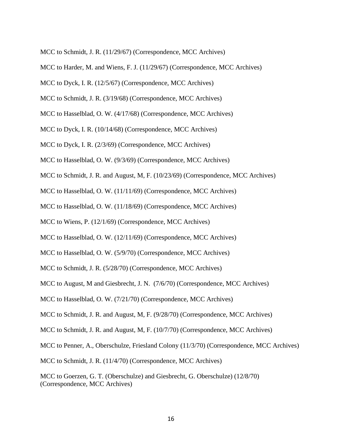- MCC to Schmidt, J. R. (11/29/67) (Correspondence, MCC Archives)
- MCC to Harder, M. and Wiens, F. J. (11/29/67) (Correspondence, MCC Archives)
- MCC to Dyck, I. R. (12/5/67) (Correspondence, MCC Archives)
- MCC to Schmidt, J. R. (3/19/68) (Correspondence, MCC Archives)
- MCC to Hasselblad, O. W. (4/17/68) (Correspondence, MCC Archives)
- MCC to Dyck, I. R. (10/14/68) (Correspondence, MCC Archives)
- MCC to Dyck, I. R. (2/3/69) (Correspondence, MCC Archives)
- MCC to Hasselblad, O. W. (9/3/69) (Correspondence, MCC Archives)
- MCC to Schmidt, J. R. and August, M, F. (10/23/69) (Correspondence, MCC Archives)
- MCC to Hasselblad, O. W. (11/11/69) (Correspondence, MCC Archives)
- MCC to Hasselblad, O. W. (11/18/69) (Correspondence, MCC Archives)
- MCC to Wiens, P. (12/1/69) (Correspondence, MCC Archives)
- MCC to Hasselblad, O. W. (12/11/69) (Correspondence, MCC Archives)
- MCC to Hasselblad, O. W. (5/9/70) (Correspondence, MCC Archives)
- MCC to Schmidt, J. R. (5/28/70) (Correspondence, MCC Archives)
- MCC to August, M and Giesbrecht, J. N. (7/6/70) (Correspondence, MCC Archives)
- MCC to Hasselblad, O. W. (7/21/70) (Correspondence, MCC Archives)
- MCC to Schmidt, J. R. and August, M, F. (9/28/70) (Correspondence, MCC Archives)
- MCC to Schmidt, J. R. and August, M, F. (10/7/70) (Correspondence, MCC Archives)
- MCC to Penner, A., Oberschulze, Friesland Colony (11/3/70) (Correspondence, MCC Archives)
- MCC to Schmidt, J. R. (11/4/70) (Correspondence, MCC Archives)
- MCC to Goerzen, G. T. (Oberschulze) and Giesbrecht, G. Oberschulze) (12/8/70) (Correspondence, MCC Archives)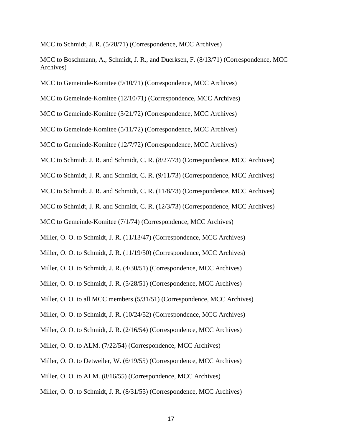MCC to Schmidt, J. R. (5/28/71) (Correspondence, MCC Archives)

MCC to Boschmann, A., Schmidt, J. R., and Duerksen, F. (8/13/71) (Correspondence, MCC Archives)

MCC to Gemeinde-Komitee (9/10/71) (Correspondence, MCC Archives)

MCC to Gemeinde-Komitee (12/10/71) (Correspondence, MCC Archives)

MCC to Gemeinde-Komitee (3/21/72) (Correspondence, MCC Archives)

MCC to Gemeinde-Komitee (5/11/72) (Correspondence, MCC Archives)

MCC to Gemeinde-Komitee (12/7/72) (Correspondence, MCC Archives)

MCC to Schmidt, J. R. and Schmidt, C. R. (8/27/73) (Correspondence, MCC Archives)

MCC to Schmidt, J. R. and Schmidt, C. R. (9/11/73) (Correspondence, MCC Archives)

MCC to Schmidt, J. R. and Schmidt, C. R. (11/8/73) (Correspondence, MCC Archives)

MCC to Schmidt, J. R. and Schmidt, C. R. (12/3/73) (Correspondence, MCC Archives)

MCC to Gemeinde-Komitee (7/1/74) (Correspondence, MCC Archives)

Miller, O. O. to Schmidt, J. R. (11/13/47) (Correspondence, MCC Archives)

Miller, O. O. to Schmidt, J. R. (11/19/50) (Correspondence, MCC Archives)

Miller, O. O. to Schmidt, J. R. (4/30/51) (Correspondence, MCC Archives)

Miller, O. O. to Schmidt, J. R. (5/28/51) (Correspondence, MCC Archives)

Miller, O. O. to all MCC members (5/31/51) (Correspondence, MCC Archives)

Miller, O. O. to Schmidt, J. R. (10/24/52) (Correspondence, MCC Archives)

Miller, O. O. to Schmidt, J. R. (2/16/54) (Correspondence, MCC Archives)

Miller, O. O. to ALM. (7/22/54) (Correspondence, MCC Archives)

Miller, O. O. to Detweiler, W. (6/19/55) (Correspondence, MCC Archives)

Miller, O. O. to ALM. (8/16/55) (Correspondence, MCC Archives)

Miller, O. O. to Schmidt, J. R. (8/31/55) (Correspondence, MCC Archives)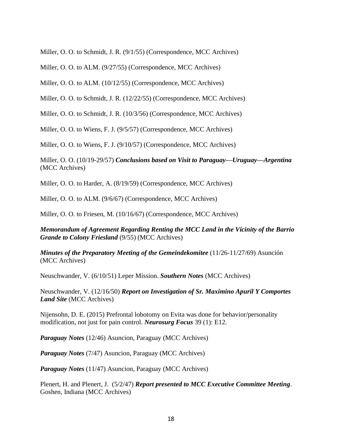Miller, O. O. to Schmidt, J. R. (9/1/55) (Correspondence, MCC Archives)

Miller, O. O. to ALM. (9/27/55) (Correspondence, MCC Archives)

Miller, O. O. to ALM. (10/12/55) (Correspondence, MCC Archives)

Miller, O. O. to Schmidt, J. R. (12/22/55) (Correspondence, MCC Archives)

Miller, O. O. to Schmidt, J. R. (10/3/56) (Correspondence, MCC Archives)

Miller, O. O. to Wiens, F. J. (9/5/57) (Correspondence, MCC Archives)

Miller, O. O. to Wiens, F. J. (9/10/57) (Correspondence, MCC Archives)

Miller, O. O. (10/19-29/57) *Conclusions based on Visit to Paraguay—Uruguay—Argentina*  (MCC Archives)

Miller, O. O. to Harder, A. (8/19/59) (Correspondence, MCC Archives)

Miller, O. O. to ALM. (9/6/67) (Correspondence, MCC Archives)

Miller, O. O. to Friesen, M. (10/16/67) (Correspondence, MCC Archives)

*Memorandum of Agreement Regarding Renting the MCC Land in the Vicinity of the Barrio Grande to Colony Friesland* (9/55) (MCC Archives)

*Minutes of the Preparatory Meeting of the Gemeindekomitee* (11/26-11/27/69) Asunción (MCC Archives)

Neuschwander, V. (6/10/51) Leper Mission. *Southern Notes* (MCC Archives)

Neuschwander, V. (12/16/50) *Report on Investigation of Sr. Maximino Apuril Y Comportes Land Site* (MCC Archives)

Nijensohn, D. E. (2015) Prefrontal lobotomy on Evita was done for behavior/personality modification, not just for pain control. *Neurosurg Focus* 39 (1): E12.

*Paraguay Notes* (12/46) Asuncion, Paraguay (MCC Archives)

*Paraguay Notes* (7/47) Asuncion, Paraguay (MCC Archives)

*Paraguay Notes* (11/47) Asuncion, Paraguay (MCC Archives)

Plenert, H. and Plenert, J. (5/2/47) *Report presented to MCC Executive Committee Meeting*. Goshen, Indiana (MCC Archives)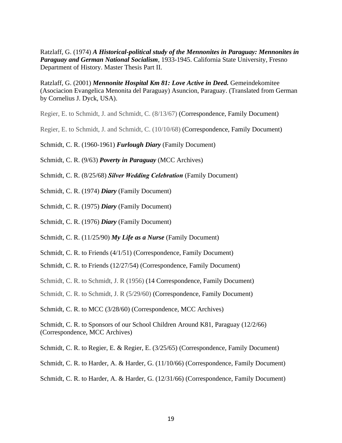Ratzlaff, G. (1974) *A Historical-political study of the Mennonites in Paraguay: Mennonites in Paraguay and German National Socialism*, 1933-1945. California State University, Fresno Department of History. Master Thesis Part II.

Ratzlaff, G. (2001) *Mennonite Hospital Km 81: Love Active in Deed.* Gemeindekomitee (Asociacion Evangelica Menonita del Paraguay) Asuncion, Paraguay. (Translated from German by Cornelius J. Dyck, USA).

Regier, E. to Schmidt, J. and Schmidt, C. (8/13/67) (Correspondence, Family Document)

Regier, E. to Schmidt, J. and Schmidt, C. (10/10/68) (Correspondence, Family Document)

Schmidt, C. R. (1960-1961) *Furlough Diary* (Family Document)

Schmidt, C. R. (9/63) *Poverty in Paraguay* (MCC Archives)

Schmidt, C. R. (8/25/68) *Silver Wedding Celebration* (Family Document)

Schmidt, C. R. (1974) *Diary* (Family Document)

Schmidt, C. R. (1975) *Diary* (Family Document)

Schmidt, C. R. (1976) *Diary* (Family Document)

Schmidt, C. R. (11/25/90) *My Life as a Nurse* (Family Document)

Schmidt, C. R. to Friends (4/1/51) (Correspondence, Family Document)

Schmidt, C. R. to Friends (12/27/54) (Correspondence, Family Document)

Schmidt, C. R. to Schmidt, J. R (1956) (14 Correspondence, Family Document)

Schmidt, C. R. to Schmidt, J. R (5/29/60) (Correspondence, Family Document)

Schmidt, C. R. to MCC (3/28/60) (Correspondence, MCC Archives)

Schmidt, C. R. to Sponsors of our School Children Around K81, Paraguay (12/2/66) (Correspondence, MCC Archives)

Schmidt, C. R. to Regier, E. & Regier, E. (3/25/65) (Correspondence, Family Document)

Schmidt, C. R. to Harder, A. & Harder, G. (11/10/66) (Correspondence, Family Document)

Schmidt, C. R. to Harder, A. & Harder, G. (12/31/66) (Correspondence, Family Document)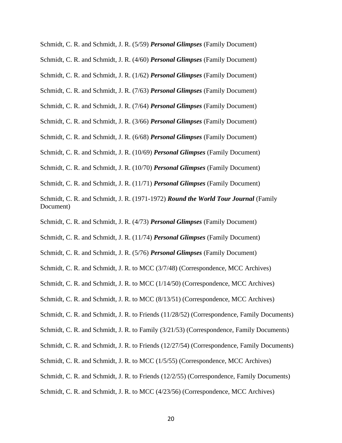Schmidt, C. R. and Schmidt, J. R. (5/59) *Personal Glimpses* (Family Document)

Schmidt, C. R. and Schmidt, J. R. (4/60) *Personal Glimpses* (Family Document)

Schmidt, C. R. and Schmidt, J. R. (1/62) *Personal Glimpses* (Family Document)

Schmidt, C. R. and Schmidt, J. R. (7/63) *Personal Glimpses* (Family Document)

Schmidt, C. R. and Schmidt, J. R. (7/64) *Personal Glimpses* (Family Document)

Schmidt, C. R. and Schmidt, J. R. (3/66) *Personal Glimpses* (Family Document)

Schmidt, C. R. and Schmidt, J. R. (6/68) *Personal Glimpses* (Family Document)

Schmidt, C. R. and Schmidt, J. R. (10/69) *Personal Glimpses* (Family Document)

Schmidt, C. R. and Schmidt, J. R. (10/70) *Personal Glimpses* (Family Document)

Schmidt, C. R. and Schmidt, J. R. (11/71) *Personal Glimpses* (Family Document)

Schmidt, C. R. and Schmidt, J. R. (1971-1972) *Round the World Tour Journal* (Family Document)

Schmidt, C. R. and Schmidt, J. R. (4/73) *Personal Glimpses* (Family Document)

Schmidt, C. R. and Schmidt, J. R. (11/74) *Personal Glimpses* (Family Document)

Schmidt, C. R. and Schmidt, J. R. (5/76) *Personal Glimpses* (Family Document)

Schmidt, C. R. and Schmidt, J. R. to MCC (3/7/48) (Correspondence, MCC Archives)

Schmidt, C. R. and Schmidt, J. R. to MCC (1/14/50) (Correspondence, MCC Archives)

Schmidt, C. R. and Schmidt, J. R. to MCC (8/13/51) (Correspondence, MCC Archives)

Schmidt, C. R. and Schmidt, J. R. to Friends (11/28/52) (Correspondence, Family Documents)

Schmidt, C. R. and Schmidt, J. R. to Family (3/21/53) (Correspondence, Family Documents)

Schmidt, C. R. and Schmidt, J. R. to Friends (12/27/54) (Correspondence, Family Documents)

Schmidt, C. R. and Schmidt, J. R. to MCC (1/5/55) (Correspondence, MCC Archives)

Schmidt, C. R. and Schmidt, J. R. to Friends (12/2/55) (Correspondence, Family Documents)

Schmidt, C. R. and Schmidt, J. R. to MCC (4/23/56) (Correspondence, MCC Archives)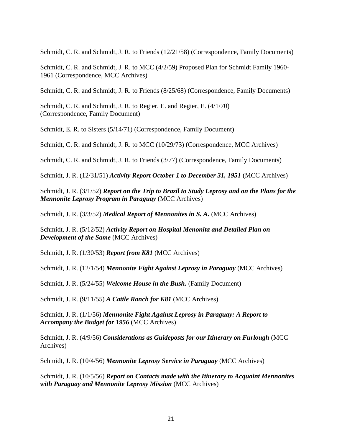Schmidt, C. R. and Schmidt, J. R. to Friends (12/21/58) (Correspondence, Family Documents)

Schmidt, C. R. and Schmidt, J. R. to MCC (4/2/59) Proposed Plan for Schmidt Family 1960- 1961 (Correspondence, MCC Archives)

Schmidt, C. R. and Schmidt, J. R. to Friends (8/25/68) (Correspondence, Family Documents)

Schmidt, C. R. and Schmidt, J. R. to Regier, E. and Regier, E. (4/1/70) (Correspondence, Family Document)

Schmidt, E. R. to Sisters (5/14/71) (Correspondence, Family Document)

Schmidt, C. R. and Schmidt, J. R. to MCC (10/29/73) (Correspondence, MCC Archives)

Schmidt, C. R. and Schmidt, J. R. to Friends (3/77) (Correspondence, Family Documents)

Schmidt, J. R. (12/31/51) *Activity Report October 1 to December 31, 1951* (MCC Archives)

Schmidt, J. R. (3/1/52) *Report on the Trip to Brazil to Study Leprosy and on the Plans for the Mennonite Leprosy Program in Paraguay* (MCC Archives)

Schmidt, J. R. (3/3/52) *Medical Report of Mennonites in S. A.* (MCC Archives)

Schmidt, J. R. (5/12/52) *Activity Report on Hospital Menonita and Detailed Plan on Development of the Same* (MCC Archives)

Schmidt, J. R. (1/30/53) *Report from K81* (MCC Archives)

Schmidt, J. R. (12/1/54) *Mennonite Fight Against Leprosy in Paraguay* (MCC Archives)

Schmidt, J. R. (5/24/55) *Welcome House in the Bush.* (Family Document)

Schmidt, J. R. (9/11/55) *A Cattle Ranch for K81* (MCC Archives)

Schmidt, J. R. (1/1/56) *Mennonite Fight Against Leprosy in Paraguay: A Report to Accompany the Budget for 1956* (MCC Archives)

Schmidt, J. R. (4/9/56) *Considerations as Guideposts for our Itinerary on Furlough* (MCC Archives)

Schmidt, J. R. (10/4/56) *Mennonite Leprosy Service in Paraguay* (MCC Archives)

Schmidt, J. R. (10/5/56) *Report on Contacts made with the Itinerary to Acquaint Mennonites with Paraguay and Mennonite Leprosy Mission* (MCC Archives)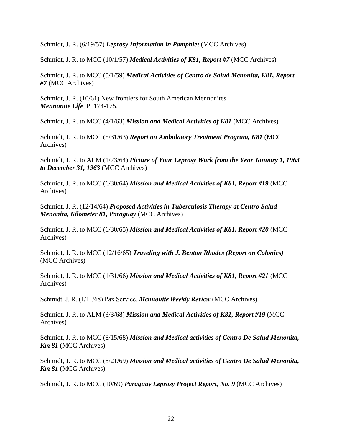Schmidt, J. R. (6/19/57) *Leprosy Information in Pamphlet* (MCC Archives)

Schmidt, J. R. to MCC (10/1/57) *Medical Activities of K81, Report #7* (MCC Archives)

Schmidt, J. R. to MCC (5/1/59) *Medical Activities of Centro de Salud Menonita, K81, Report #7* (MCC Archives)

Schmidt, J. R. (10/61) New frontiers for South American Mennonites. *Mennonite Life*, P. 174-175.

Schmidt, J. R. to MCC (4/1/63) *Mission and Medical Activities of K81* (MCC Archives)

Schmidt, J. R. to MCC (5/31/63) *Report on Ambulatory Treatment Program, K81* (MCC Archives)

Schmidt, J. R. to ALM (1/23/64) *Picture of Your Leprosy Work from the Year January 1, 1963 to December 31, 1963* (MCC Archives)

Schmidt, J. R. to MCC (6/30/64) *Mission and Medical Activities of K81, Report #19* (MCC Archives)

Schmidt, J. R. (12/14/64) *Proposed Activities in Tuberculosis Therapy at Centro Salud Menonita, Kilometer 81, Paraguay* (MCC Archives)

Schmidt, J. R. to MCC (6/30/65) *Mission and Medical Activities of K81, Report #20* (MCC Archives)

Schmidt, J. R. to MCC (12/16/65) *Traveling with J. Benton Rhodes (Report on Colonies)*  (MCC Archives)

Schmidt, J. R. to MCC (1/31/66) *Mission and Medical Activities of K81, Report #21* (MCC Archives)

Schmidt, J. R. (1/11/68) Pax Service. *Mennonite Weekly Review* (MCC Archives)

Schmidt, J. R. to ALM (3/3/68) *Mission and Medical Activities of K81, Report #19* (MCC Archives)

Schmidt, J. R. to MCC (8/15/68) *Mission and Medical activities of Centro De Salud Menonita, Km 81* (MCC Archives)

Schmidt, J. R. to MCC (8/21/69) *Mission and Medical activities of Centro De Salud Menonita, Km 81* (MCC Archives)

Schmidt, J. R. to MCC (10/69) *Paraguay Leprosy Project Report, No. 9* (MCC Archives)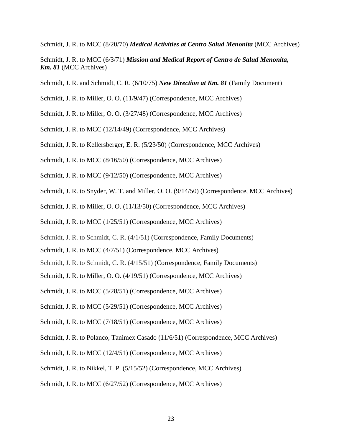Schmidt, J. R. to MCC (8/20/70) *Medical Activities at Centro Salud Menonita* (MCC Archives)

- Schmidt, J. R. to MCC (6/3/71) *Mission and Medical Report of Centro de Salud Menonita*, *Km. 81* (MCC Archives)
- Schmidt, J. R. and Schmidt, C. R. (6/10/75) *New Direction at Km. 81* (Family Document)
- Schmidt, J. R. to Miller, O. O. (11/9/47) (Correspondence, MCC Archives)
- Schmidt, J. R. to Miller, O. O. (3/27/48) (Correspondence, MCC Archives)
- Schmidt, J. R. to MCC (12/14/49) (Correspondence, MCC Archives)
- Schmidt, J. R. to Kellersberger, E. R. (5/23/50) (Correspondence, MCC Archives)
- Schmidt, J. R. to MCC (8/16/50) (Correspondence, MCC Archives)
- Schmidt, J. R. to MCC (9/12/50) (Correspondence, MCC Archives)
- Schmidt, J. R. to Snyder, W. T. and Miller, O. O. (9/14/50) (Correspondence, MCC Archives)
- Schmidt, J. R. to Miller, O. O. (11/13/50) (Correspondence, MCC Archives)
- Schmidt, J. R. to MCC (1/25/51) (Correspondence, MCC Archives)
- Schmidt, J. R. to Schmidt, C. R. (4/1/51) (Correspondence, Family Documents)
- Schmidt, J. R. to MCC (4/7/51) (Correspondence, MCC Archives)
- Schmidt, J. R. to Schmidt, C. R. (4/15/51) (Correspondence, Family Documents)
- Schmidt, J. R. to Miller, O. O. (4/19/51) (Correspondence, MCC Archives)
- Schmidt, J. R. to MCC (5/28/51) (Correspondence, MCC Archives)
- Schmidt, J. R. to MCC (5/29/51) (Correspondence, MCC Archives)
- Schmidt, J. R. to MCC (7/18/51) (Correspondence, MCC Archives)
- Schmidt, J. R. to Polanco, Tanimex Casado (11/6/51) (Correspondence, MCC Archives)
- Schmidt, J. R. to MCC (12/4/51) (Correspondence, MCC Archives)
- Schmidt, J. R. to Nikkel, T. P. (5/15/52) (Correspondence, MCC Archives)
- Schmidt, J. R. to MCC (6/27/52) (Correspondence, MCC Archives)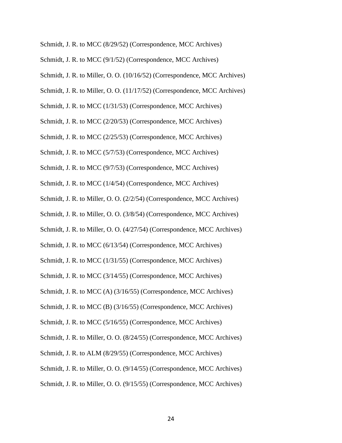- Schmidt, J. R. to MCC (8/29/52) (Correspondence, MCC Archives)
- Schmidt, J. R. to MCC (9/1/52) (Correspondence, MCC Archives)
- Schmidt, J. R. to Miller, O. O. (10/16/52) (Correspondence, MCC Archives)
- Schmidt, J. R. to Miller, O. O. (11/17/52) (Correspondence, MCC Archives)
- Schmidt, J. R. to MCC (1/31/53) (Correspondence, MCC Archives)
- Schmidt, J. R. to MCC (2/20/53) (Correspondence, MCC Archives)
- Schmidt, J. R. to MCC (2/25/53) (Correspondence, MCC Archives)
- Schmidt, J. R. to MCC (5/7/53) (Correspondence, MCC Archives)
- Schmidt, J. R. to MCC (9/7/53) (Correspondence, MCC Archives)
- Schmidt, J. R. to MCC (1/4/54) (Correspondence, MCC Archives)
- Schmidt, J. R. to Miller, O. O. (2/2/54) (Correspondence, MCC Archives)
- Schmidt, J. R. to Miller, O. O. (3/8/54) (Correspondence, MCC Archives)
- Schmidt, J. R. to Miller, O. O. (4/27/54) (Correspondence, MCC Archives)
- Schmidt, J. R. to MCC (6/13/54) (Correspondence, MCC Archives)
- Schmidt, J. R. to MCC (1/31/55) (Correspondence, MCC Archives)
- Schmidt, J. R. to MCC (3/14/55) (Correspondence, MCC Archives)
- Schmidt, J. R. to MCC (A) (3/16/55) (Correspondence, MCC Archives)
- Schmidt, J. R. to MCC (B) (3/16/55) (Correspondence, MCC Archives)
- Schmidt, J. R. to MCC (5/16/55) (Correspondence, MCC Archives)
- Schmidt, J. R. to Miller, O. O. (8/24/55) (Correspondence, MCC Archives)
- Schmidt, J. R. to ALM (8/29/55) (Correspondence, MCC Archives)
- Schmidt, J. R. to Miller, O. O. (9/14/55) (Correspondence, MCC Archives)
- Schmidt, J. R. to Miller, O. O. (9/15/55) (Correspondence, MCC Archives)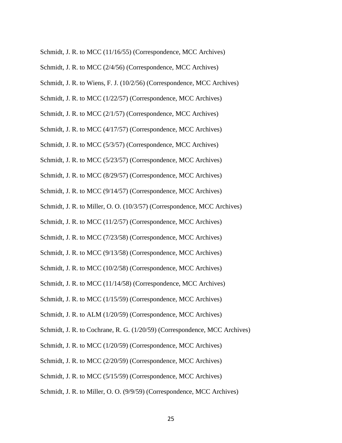- Schmidt, J. R. to MCC (11/16/55) (Correspondence, MCC Archives)
- Schmidt, J. R. to MCC (2/4/56) (Correspondence, MCC Archives)
- Schmidt, J. R. to Wiens, F. J. (10/2/56) (Correspondence, MCC Archives)
- Schmidt, J. R. to MCC (1/22/57) (Correspondence, MCC Archives)
- Schmidt, J. R. to MCC (2/1/57) (Correspondence, MCC Archives)
- Schmidt, J. R. to MCC (4/17/57) (Correspondence, MCC Archives)
- Schmidt, J. R. to MCC (5/3/57) (Correspondence, MCC Archives)
- Schmidt, J. R. to MCC (5/23/57) (Correspondence, MCC Archives)
- Schmidt, J. R. to MCC (8/29/57) (Correspondence, MCC Archives)
- Schmidt, J. R. to MCC (9/14/57) (Correspondence, MCC Archives)
- Schmidt, J. R. to Miller, O. O. (10/3/57) (Correspondence, MCC Archives)
- Schmidt, J. R. to MCC (11/2/57) (Correspondence, MCC Archives)
- Schmidt, J. R. to MCC (7/23/58) (Correspondence, MCC Archives)
- Schmidt, J. R. to MCC (9/13/58) (Correspondence, MCC Archives)
- Schmidt, J. R. to MCC (10/2/58) (Correspondence, MCC Archives)
- Schmidt, J. R. to MCC (11/14/58) (Correspondence, MCC Archives)
- Schmidt, J. R. to MCC (1/15/59) (Correspondence, MCC Archives)
- Schmidt, J. R. to ALM (1/20/59) (Correspondence, MCC Archives)
- Schmidt, J. R. to Cochrane, R. G. (1/20/59) (Correspondence, MCC Archives)
- Schmidt, J. R. to MCC (1/20/59) (Correspondence, MCC Archives)
- Schmidt, J. R. to MCC (2/20/59) (Correspondence, MCC Archives)
- Schmidt, J. R. to MCC (5/15/59) (Correspondence, MCC Archives)
- Schmidt, J. R. to Miller, O. O. (9/9/59) (Correspondence, MCC Archives)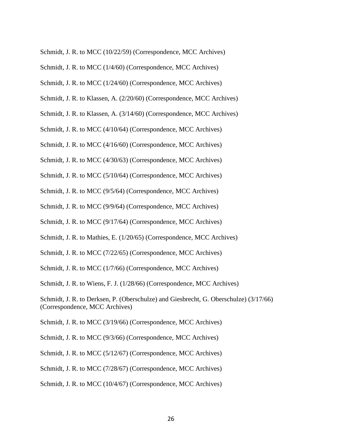- Schmidt, J. R. to MCC (10/22/59) (Correspondence, MCC Archives)
- Schmidt, J. R. to MCC (1/4/60) (Correspondence, MCC Archives)
- Schmidt, J. R. to MCC (1/24/60) (Correspondence, MCC Archives)
- Schmidt, J. R. to Klassen, A. (2/20/60) (Correspondence, MCC Archives)
- Schmidt, J. R. to Klassen, A. (3/14/60) (Correspondence, MCC Archives)
- Schmidt, J. R. to MCC (4/10/64) (Correspondence, MCC Archives)
- Schmidt, J. R. to MCC (4/16/60) (Correspondence, MCC Archives)
- Schmidt, J. R. to MCC (4/30/63) (Correspondence, MCC Archives)
- Schmidt, J. R. to MCC (5/10/64) (Correspondence, MCC Archives)
- Schmidt, J. R. to MCC (9/5/64) (Correspondence, MCC Archives)
- Schmidt, J. R. to MCC (9/9/64) (Correspondence, MCC Archives)
- Schmidt, J. R. to MCC (9/17/64) (Correspondence, MCC Archives)
- Schmidt, J. R. to Mathies, E. (1/20/65) (Correspondence, MCC Archives)
- Schmidt, J. R. to MCC (7/22/65) (Correspondence, MCC Archives)
- Schmidt, J. R. to MCC (1/7/66) (Correspondence, MCC Archives)
- Schmidt, J. R. to Wiens, F. J. (1/28/66) (Correspondence, MCC Archives)
- Schmidt, J. R. to Derksen, P. (Oberschulze) and Giesbrecht, G. Oberschulze) (3/17/66) (Correspondence, MCC Archives)
- Schmidt, J. R. to MCC (3/19/66) (Correspondence, MCC Archives)
- Schmidt, J. R. to MCC (9/3/66) (Correspondence, MCC Archives)
- Schmidt, J. R. to MCC (5/12/67) (Correspondence, MCC Archives)
- Schmidt, J. R. to MCC (7/28/67) (Correspondence, MCC Archives)
- Schmidt, J. R. to MCC (10/4/67) (Correspondence, MCC Archives)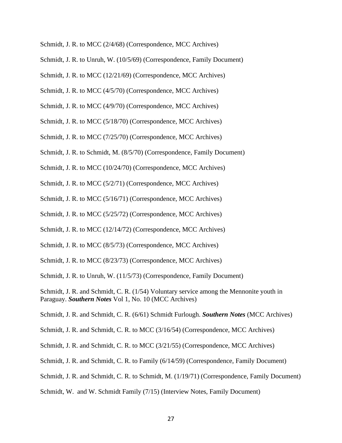- Schmidt, J. R. to MCC (2/4/68) (Correspondence, MCC Archives)
- Schmidt, J. R. to Unruh, W. (10/5/69) (Correspondence, Family Document)
- Schmidt, J. R. to MCC (12/21/69) (Correspondence, MCC Archives)
- Schmidt, J. R. to MCC (4/5/70) (Correspondence, MCC Archives)
- Schmidt, J. R. to MCC (4/9/70) (Correspondence, MCC Archives)
- Schmidt, J. R. to MCC (5/18/70) (Correspondence, MCC Archives)
- Schmidt, J. R. to MCC (7/25/70) (Correspondence, MCC Archives)
- Schmidt, J. R. to Schmidt, M. (8/5/70) (Correspondence, Family Document)
- Schmidt, J. R. to MCC (10/24/70) (Correspondence, MCC Archives)
- Schmidt, J. R. to MCC (5/2/71) (Correspondence, MCC Archives)
- Schmidt, J. R. to MCC (5/16/71) (Correspondence, MCC Archives)
- Schmidt, J. R. to MCC (5/25/72) (Correspondence, MCC Archives)
- Schmidt, J. R. to MCC (12/14/72) (Correspondence, MCC Archives)
- Schmidt, J. R. to MCC (8/5/73) (Correspondence, MCC Archives)
- Schmidt, J. R. to MCC (8/23/73) (Correspondence, MCC Archives)

Schmidt, J. R. to Unruh, W. (11/5/73) (Correspondence, Family Document)

Schmidt, J. R. and Schmidt, C. R. (1/54) Voluntary service among the Mennonite youth in Paraguay. *Southern Notes* Vol 1, No. 10 (MCC Archives)

Schmidt, J. R. and Schmidt, C. R. (6/61) Schmidt Furlough. *Southern Notes* (MCC Archives)

Schmidt, J. R. and Schmidt, C. R. to MCC (3/16/54) (Correspondence, MCC Archives)

- Schmidt, J. R. and Schmidt, C. R. to MCC (3/21/55) (Correspondence, MCC Archives)
- Schmidt, J. R. and Schmidt, C. R. to Family (6/14/59) (Correspondence, Family Document)
- Schmidt, J. R. and Schmidt, C. R. to Schmidt, M. (1/19/71) (Correspondence, Family Document)
- Schmidt, W. and W. Schmidt Family (7/15) (Interview Notes, Family Document)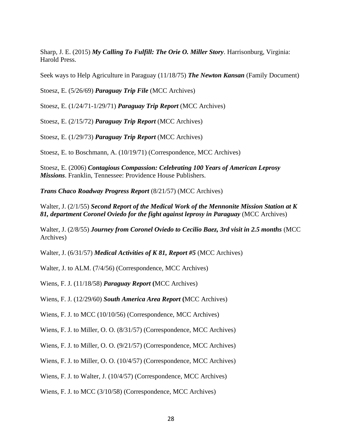Sharp, J. E. (2015) *My Calling To Fulfill: The Orie O. Miller Story*. Harrisonburg, Virginia: Harold Press.

Seek ways to Help Agriculture in Paraguay (11/18/75) *The Newton Kansan* (Family Document)

Stoesz, E. (5/26/69) *Paraguay Trip File* (MCC Archives)

Stoesz, E. (1/24/71-1/29/71) *Paraguay Trip Report* (MCC Archives)

Stoesz, E. (2/15/72) *Paraguay Trip Report* (MCC Archives)

Stoesz, E. (1/29/73) *Paraguay Trip Report* (MCC Archives)

Stoesz, E. to Boschmann, A. (10/19/71) (Correspondence, MCC Archives)

Stoesz, E. (2006) *Contagious Compassion: Celebrating 100 Years of American Leprosy Missions*. Franklin, Tennessee: Providence House Publishers.

*Trans Chaco Roadway Progress Report* (8/21/57) (MCC Archives)

Walter, J. (2/1/55) *Second Report of the Medical Work of the Mennonite Mission Station at K 81, department Coronel Oviedo for the fight against leprosy in Paraguay* (MCC Archives)

Walter, J. (2/8/55) *Journey from Coronel Oviedo to Cecilio Baez, 3rd visit in 2.5 months* (MCC Archives)

Walter, J. (6/31/57) *Medical Activities of K 81, Report #5* (MCC Archives)

Walter, J. to ALM. (7/4/56) (Correspondence, MCC Archives)

Wiens, F. J. (11/18/58) *Paraguay Report* **(**MCC Archives)

Wiens, F. J. (12/29/60) *South America Area Report* **(**MCC Archives)

Wiens, F. J. to MCC (10/10/56) (Correspondence, MCC Archives)

Wiens, F. J. to Miller, O. O. (8/31/57) (Correspondence, MCC Archives)

Wiens, F. J. to Miller, O. O. (9/21/57) (Correspondence, MCC Archives)

Wiens, F. J. to Miller, O. O. (10/4/57) (Correspondence, MCC Archives)

Wiens, F. J. to Walter, J. (10/4/57) (Correspondence, MCC Archives)

Wiens, F. J. to MCC (3/10/58) (Correspondence, MCC Archives)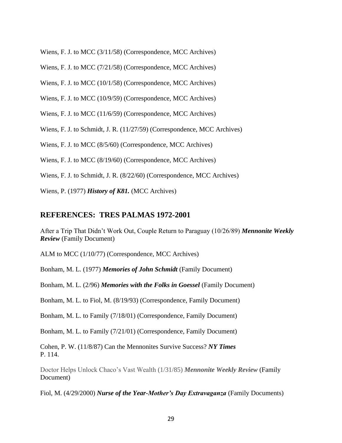Wiens, F. J. to MCC (3/11/58) (Correspondence, MCC Archives)

Wiens, F. J. to MCC (7/21/58) (Correspondence, MCC Archives)

Wiens, F. J. to MCC (10/1/58) (Correspondence, MCC Archives)

Wiens, F. J. to MCC (10/9/59) (Correspondence, MCC Archives)

Wiens, F. J. to MCC (11/6/59) (Correspondence, MCC Archives)

Wiens, F. J. to Schmidt, J. R. (11/27/59) (Correspondence, MCC Archives)

Wiens, F. J. to MCC (8/5/60) (Correspondence, MCC Archives)

Wiens, F. J. to MCC (8/19/60) (Correspondence, MCC Archives)

Wiens, F. J. to Schmidt, J. R. (8/22/60) (Correspondence, MCC Archives)

Wiens, P. (1977) *History of K81.* (MCC Archives)

## **REFERENCES: TRES PALMAS 1972-2001**

After a Trip That Didn't Work Out, Couple Return to Paraguay (10/26/89) *Mennonite Weekly Review* (Family Document)

ALM to MCC (1/10/77) (Correspondence, MCC Archives)

Bonham, M. L. (1977) *Memories of John Schmidt* (Family Document)

Bonham, M. L. (2/96) *Memories with the Folks in Goessel* (Family Document)

Bonham, M. L. to Fiol, M. (8/19/93) (Correspondence, Family Document)

Bonham, M. L. to Family (7/18/01) (Correspondence, Family Document)

Bonham, M. L. to Family (7/21/01) (Correspondence, Family Document)

Cohen, P. W. (11/8/87) Can the Mennonites Survive Success? *NY Times* P. 114.

Doctor Helps Unlock Chaco's Vast Wealth (1/31/85) *Mennonite Weekly Review* (Family Document)

Fiol, M. (4/29/2000) *Nurse of the Year-Mother's Day Extravaganza* (Family Documents)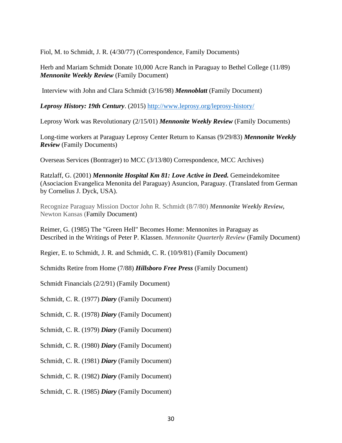Fiol, M. to Schmidt, J. R. (4/30/77) (Correspondence, Family Documents)

Herb and Mariam Schmidt Donate 10,000 Acre Ranch in Paraguay to Bethel College (11/89) *Mennonite Weekly Review* (Family Document)

Interview with John and Clara Schmidt (3/16/98) *Mennoblatt* (Family Document)

*Leprosy History: 19th Century*. (2015)<http://www.leprosy.org/leprosy-history/>

Leprosy Work was Revolutionary (2/15/01) *Mennonite Weekly Review* (Family Documents)

Long-time workers at Paraguay Leprosy Center Return to Kansas (9/29/83) *Mennonite Weekly Review* (Family Documents)

Overseas Services (Bontrager) to MCC (3/13/80) Correspondence, MCC Archives)

Ratzlaff, G. (2001) *Mennonite Hospital Km 81: Love Active in Deed.* Gemeindekomitee (Asociacion Evangelica Menonita del Paraguay) Asuncion, Paraguay. (Translated from German by Cornelius J. Dyck, USA).

Recognize Paraguay Mission Doctor John R. Schmidt (8/7/80) *Mennonite Weekly Review,* Newton Kansas (Family Document)

Reimer, G. (1985) The "Green Hell" Becomes Home: Mennonites in Paraguay as Described in the Writings of Peter P. Klassen. *Mennonite Quarterly Review* (Family Document)

Regier, E. to Schmidt, J. R. and Schmidt, C. R. (10/9/81) (Family Document)

Schmidts Retire from Home (7/88) *Hillsboro Free Press* (Family Document)

Schmidt Financials (2/2/91) (Family Document)

Schmidt, C. R. (1977) *Diary* (Family Document)

Schmidt, C. R. (1978) *Diary* (Family Document)

Schmidt, C. R. (1979) *Diary* (Family Document)

Schmidt, C. R. (1980) *Diary* (Family Document)

Schmidt, C. R. (1981) *Diary* (Family Document)

Schmidt, C. R. (1982) *Diary* (Family Document)

Schmidt, C. R. (1985) *Diary* (Family Document)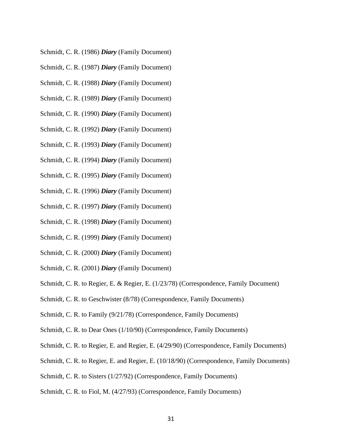- Schmidt, C. R. (1986) *Diary* (Family Document)
- Schmidt, C. R. (1987) *Diary* (Family Document)
- Schmidt, C. R. (1988) *Diary* (Family Document)
- Schmidt, C. R. (1989) *Diary* (Family Document)
- Schmidt, C. R. (1990) *Diary* (Family Document)
- Schmidt, C. R. (1992) *Diary* (Family Document)
- Schmidt, C. R. (1993) *Diary* (Family Document)
- Schmidt, C. R. (1994) *Diary* (Family Document)
- Schmidt, C. R. (1995) *Diary* (Family Document)
- Schmidt, C. R. (1996) *Diary* (Family Document)
- Schmidt, C. R. (1997) *Diary* (Family Document)
- Schmidt, C. R. (1998) *Diary* (Family Document)
- Schmidt, C. R. (1999) *Diary* (Family Document)
- Schmidt, C. R. (2000) *Diary* (Family Document)
- Schmidt, C. R. (2001) *Diary* (Family Document)
- Schmidt, C. R. to Regier, E. & Regier, E. (1/23/78) (Correspondence, Family Document)
- Schmidt, C. R. to Geschwister (8/78) (Correspondence, Family Documents)
- Schmidt, C. R. to Family (9/21/78) (Correspondence, Family Documents)
- Schmidt, C. R. to Dear Ones (1/10/90) (Correspondence, Family Documents)
- Schmidt, C. R. to Regier, E. and Regier, E. (4/29/90) (Correspondence, Family Documents)
- Schmidt, C. R. to Regier, E. and Regier, E. (10/18/90) (Correspondence, Family Documents)
- Schmidt, C. R. to Sisters (1/27/92) (Correspondence, Family Documents)
- Schmidt, C. R. to Fiol, M. (4/27/93) (Correspondence, Family Documents)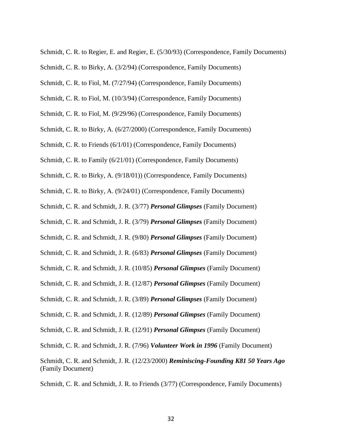Schmidt, C. R. to Regier, E. and Regier, E. (5/30/93) (Correspondence, Family Documents)

Schmidt, C. R. to Birky, A. (3/2/94) (Correspondence, Family Documents)

Schmidt, C. R. to Fiol, M. (7/27/94) (Correspondence, Family Documents)

- Schmidt, C. R. to Fiol, M. (10/3/94) (Correspondence, Family Documents)
- Schmidt, C. R. to Fiol, M. (9/29/96) (Correspondence, Family Documents)
- Schmidt, C. R. to Birky, A. (6/27/2000) (Correspondence, Family Documents)
- Schmidt, C. R. to Friends (6/1/01) (Correspondence, Family Documents)

Schmidt, C. R. to Family (6/21/01) (Correspondence, Family Documents)

Schmidt, C. R. to Birky, A. (9/18/01)) (Correspondence, Family Documents)

Schmidt, C. R. to Birky, A. (9/24/01) (Correspondence, Family Documents)

- Schmidt, C. R. and Schmidt, J. R. (3/77) *Personal Glimpses* (Family Document)
- Schmidt, C. R. and Schmidt, J. R. (3/79) *Personal Glimpses* (Family Document)
- Schmidt, C. R. and Schmidt, J. R. (9/80) *Personal Glimpses* (Family Document)
- Schmidt, C. R. and Schmidt, J. R. (6/83) *Personal Glimpses* (Family Document)
- Schmidt, C. R. and Schmidt, J. R. (10/85) *Personal Glimpses* (Family Document)
- Schmidt, C. R. and Schmidt, J. R. (12/87) *Personal Glimpses* (Family Document)
- Schmidt, C. R. and Schmidt, J. R. (3/89) *Personal Glimpses* (Family Document)
- Schmidt, C. R. and Schmidt, J. R. (12/89) *Personal Glimpses* (Family Document)
- Schmidt, C. R. and Schmidt, J. R. (12/91) *Personal Glimpses* (Family Document)

Schmidt, C. R. and Schmidt, J. R. (7/96) *Volunteer Work in 1996* (Family Document)

Schmidt, C. R. and Schmidt, J. R. (12/23/2000) *Reminiscing-Founding K81 50 Years Ago* (Family Document)

Schmidt, C. R. and Schmidt, J. R. to Friends (3/77) (Correspondence, Family Documents)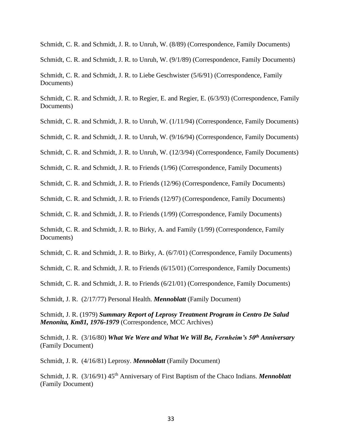Schmidt, C. R. and Schmidt, J. R. to Unruh, W. (8/89) (Correspondence, Family Documents)

Schmidt, C. R. and Schmidt, J. R. to Unruh, W. (9/1/89) (Correspondence, Family Documents)

Schmidt, C. R. and Schmidt, J. R. to Liebe Geschwister (5/6/91) (Correspondence, Family Documents)

Schmidt, C. R. and Schmidt, J. R. to Regier, E. and Regier, E. (6/3/93) (Correspondence, Family Documents)

Schmidt, C. R. and Schmidt, J. R. to Unruh, W. (1/11/94) (Correspondence, Family Documents)

Schmidt, C. R. and Schmidt, J. R. to Unruh, W. (9/16/94) (Correspondence, Family Documents)

Schmidt, C. R. and Schmidt, J. R. to Unruh, W. (12/3/94) (Correspondence, Family Documents)

Schmidt, C. R. and Schmidt, J. R. to Friends (1/96) (Correspondence, Family Documents)

Schmidt, C. R. and Schmidt, J. R. to Friends (12/96) (Correspondence, Family Documents)

Schmidt, C. R. and Schmidt, J. R. to Friends (12/97) (Correspondence, Family Documents)

Schmidt, C. R. and Schmidt, J. R. to Friends (1/99) (Correspondence, Family Documents)

Schmidt, C. R. and Schmidt, J. R. to Birky, A. and Family (1/99) (Correspondence, Family Documents)

Schmidt, C. R. and Schmidt, J. R. to Birky, A. (6/7/01) (Correspondence, Family Documents)

Schmidt, C. R. and Schmidt, J. R. to Friends (6/15/01) (Correspondence, Family Documents)

Schmidt, C. R. and Schmidt, J. R. to Friends (6/21/01) (Correspondence, Family Documents)

Schmidt, J. R. (2/17/77) Personal Health. *Mennoblatt* (Family Document)

Schmidt, J. R. (1979) *Summary Report of Leprosy Treatment Program in Centro De Salud Menonita, Km81, 1976-1979* (Correspondence, MCC Archives)

Schmidt, J. R. (3/16/80) *What We Were and What We Will Be, Fernheim's 50th Anniversary*  (Family Document)

Schmidt, J. R. (4/16/81) Leprosy. *Mennoblatt* (Family Document)

Schmidt, J. R. (3/16/91) 45<sup>th</sup> Anniversary of First Baptism of the Chaco Indians. *Mennoblatt* (Family Document)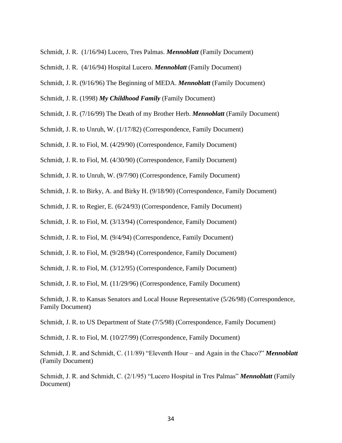- Schmidt, J. R. (1/16/94) Lucero, Tres Palmas. *Mennoblatt* (Family Document)
- Schmidt, J. R. (4/16/94) Hospital Lucero. *Mennoblatt* (Family Document)
- Schmidt, J. R. (9/16/96) The Beginning of MEDA. *Mennoblatt* (Family Document)
- Schmidt, J. R. (1998) *My Childhood Family* (Family Document)
- Schmidt, J. R. (7/16/99) The Death of my Brother Herb. *Mennoblatt* (Family Document)
- Schmidt, J. R. to Unruh, W. (1/17/82) (Correspondence, Family Document)

Schmidt, J. R. to Fiol, M. (4/29/90) (Correspondence, Family Document)

Schmidt, J. R. to Fiol, M. (4/30/90) (Correspondence, Family Document)

- Schmidt, J. R. to Unruh, W. (9/7/90) (Correspondence, Family Document)
- Schmidt, J. R. to Birky, A. and Birky H. (9/18/90) (Correspondence, Family Document)

Schmidt, J. R. to Regier, E. (6/24/93) (Correspondence, Family Document)

Schmidt, J. R. to Fiol, M. (3/13/94) (Correspondence, Family Document)

- Schmidt, J. R. to Fiol, M. (9/4/94) (Correspondence, Family Document)
- Schmidt, J. R. to Fiol, M. (9/28/94) (Correspondence, Family Document)
- Schmidt, J. R. to Fiol, M. (3/12/95) (Correspondence, Family Document)

Schmidt, J. R. to Fiol, M. (11/29/96) (Correspondence, Family Document)

Schmidt, J. R. to US Department of State (7/5/98) (Correspondence, Family Document)

Schmidt, J. R. to Fiol, M. (10/27/99) (Correspondence, Family Document)

Schmidt, J. R. and Schmidt, C. (11/89) "Eleventh Hour – and Again in the Chaco?" *Mennoblatt*  (Family Document)

Schmidt, J. R. and Schmidt, C. (2/1/95) "Lucero Hospital in Tres Palmas" *Mennoblatt* (Family Document)

Schmidt, J. R. to Kansas Senators and Local House Representative (5/26/98) (Correspondence, Family Document)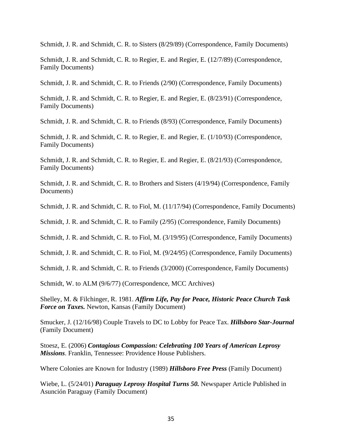Schmidt, J. R. and Schmidt, C. R. to Sisters (8/29/89) (Correspondence, Family Documents)

Schmidt, J. R. and Schmidt, C. R. to Regier, E. and Regier, E. (12/7/89) (Correspondence, Family Documents)

Schmidt, J. R. and Schmidt, C. R. to Friends (2/90) (Correspondence, Family Documents)

Schmidt, J. R. and Schmidt, C. R. to Regier, E. and Regier, E. (8/23/91) (Correspondence, Family Documents)

Schmidt, J. R. and Schmidt, C. R. to Friends (8/93) (Correspondence, Family Documents)

Schmidt, J. R. and Schmidt, C. R. to Regier, E. and Regier, E. (1/10/93) (Correspondence, Family Documents)

Schmidt, J. R. and Schmidt, C. R. to Regier, E. and Regier, E. (8/21/93) (Correspondence, Family Documents)

Schmidt, J. R. and Schmidt, C. R. to Brothers and Sisters (4/19/94) (Correspondence, Family Documents)

Schmidt, J. R. and Schmidt, C. R. to Fiol, M. (11/17/94) (Correspondence, Family Documents)

Schmidt, J. R. and Schmidt, C. R. to Family (2/95) (Correspondence, Family Documents)

Schmidt, J. R. and Schmidt, C. R. to Fiol, M. (3/19/95) (Correspondence, Family Documents)

Schmidt, J. R. and Schmidt, C. R. to Fiol, M. (9/24/95) (Correspondence, Family Documents)

Schmidt, J. R. and Schmidt, C. R. to Friends (3/2000) (Correspondence, Family Documents)

Schmidt, W. to ALM (9/6/77) (Correspondence, MCC Archives)

Shelley, M. & Filchinger, R. 1981. *Affirm Life, Pay for Peace, Historic Peace Church Task Force on Taxes.* Newton, Kansas (Family Document)

Smucker, J. (12/16/98) Couple Travels to DC to Lobby for Peace Tax. *Hillsboro Star-Journal*  (Family Document)

Stoesz, E. (2006) *Contagious Compassion: Celebrating 100 Years of American Leprosy Missions*. Franklin, Tennessee: Providence House Publishers.

Where Colonies are Known for Industry (1989) *Hillsboro Free Press* (Family Document)

Wiebe, L. (5/24/01) *Paraguay Leprosy Hospital Turns 50.* Newspaper Article Published in Asunción Paraguay (Family Document)